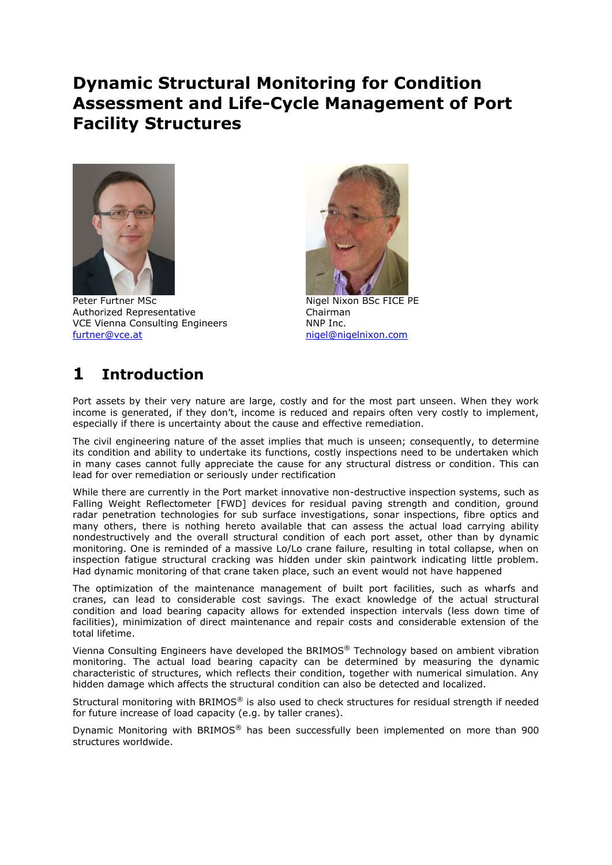# **Dynamic Structural Monitoring for Condition Assessment and Life-Cycle Management of Port Facility Structures**



Peter Furtner MSc Nigel Nixon BSc FICE PE Authorized Representative Chairman VCE Vienna Consulting Engineers NNP Inc. [furtner@vce.at](mailto:furtner@vce.at) [nigel@nigelnixon.com](mailto:nigel@nigelnixon.com)



# **1 Introduction**

Port assets by their very nature are large, costly and for the most part unseen. When they work income is generated, if they don't, income is reduced and repairs often very costly to implement, especially if there is uncertainty about the cause and effective remediation.

The civil engineering nature of the asset implies that much is unseen; consequently, to determine its condition and ability to undertake its functions, costly inspections need to be undertaken which in many cases cannot fully appreciate the cause for any structural distress or condition. This can lead for over remediation or seriously under rectification

While there are currently in the Port market innovative non-destructive inspection systems, such as Falling Weight Reflectometer [FWD] devices for residual paving strength and condition, ground radar penetration technologies for sub surface investigations, sonar inspections, fibre optics and many others, there is nothing hereto available that can assess the actual load carrying ability nondestructively and the overall structural condition of each port asset, other than by dynamic monitoring. One is reminded of a massive Lo/Lo crane failure, resulting in total collapse, when on inspection fatigue structural cracking was hidden under skin paintwork indicating little problem. Had dynamic monitoring of that crane taken place, such an event would not have happened

The optimization of the maintenance management of built port facilities, such as wharfs and cranes, can lead to considerable cost savings. The exact knowledge of the actual structural condition and load bearing capacity allows for extended inspection intervals (less down time of facilities), minimization of direct maintenance and repair costs and considerable extension of the total lifetime.

Vienna Consulting Engineers have developed the BRIMOS® Technology based on ambient vibration monitoring. The actual load bearing capacity can be determined by measuring the dynamic characteristic of structures, which reflects their condition, together with numerical simulation. Any hidden damage which affects the structural condition can also be detected and localized.

Structural monitoring with BRIMOS® is also used to check structures for residual strength if needed for future increase of load capacity (e.g. by taller cranes).

Dynamic Monitoring with BRIMOS® has been successfully been implemented on more than 900 structures worldwide.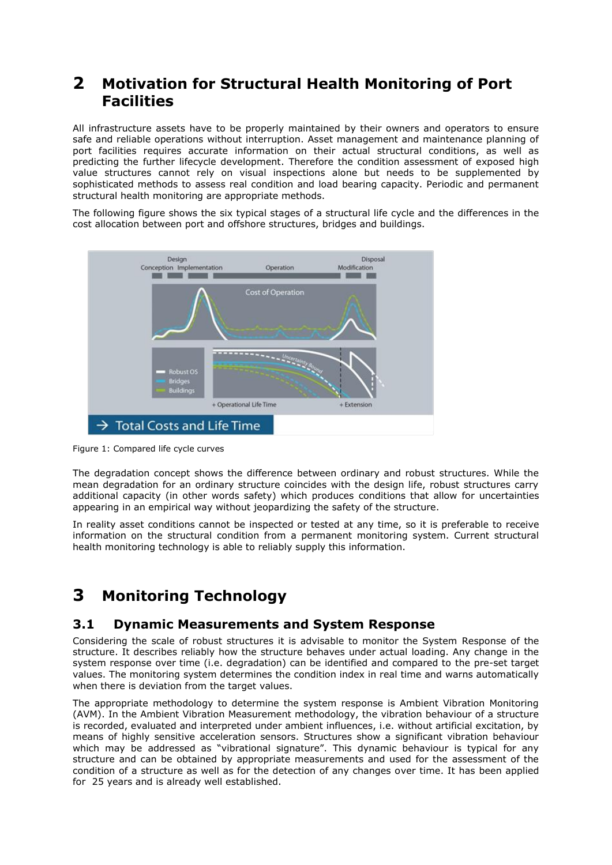## **2 Motivation for Structural Health Monitoring of Port Facilities**

All infrastructure assets have to be properly maintained by their owners and operators to ensure safe and reliable operations without interruption. Asset management and maintenance planning of port facilities requires accurate information on their actual structural conditions, as well as predicting the further lifecycle development. Therefore the condition assessment of exposed high value structures cannot rely on visual inspections alone but needs to be supplemented by sophisticated methods to assess real condition and load bearing capacity. Periodic and permanent structural health monitoring are appropriate methods.

The following figure shows the six typical stages of a structural life cycle and the differences in the cost allocation between port and offshore structures, bridges and buildings.



Figure 1: Compared life cycle curves

The degradation concept shows the difference between ordinary and robust structures. While the mean degradation for an ordinary structure coincides with the design life, robust structures carry additional capacity (in other words safety) which produces conditions that allow for uncertainties appearing in an empirical way without jeopardizing the safety of the structure.

In reality asset conditions cannot be inspected or tested at any time, so it is preferable to receive information on the structural condition from a permanent monitoring system. Current structural health monitoring technology is able to reliably supply this information.

# **3 Monitoring Technology**

### **3.1 Dynamic Measurements and System Response**

Considering the scale of robust structures it is advisable to monitor the System Response of the structure. It describes reliably how the structure behaves under actual loading. Any change in the system response over time (i.e. degradation) can be identified and compared to the pre-set target values. The monitoring system determines the condition index in real time and warns automatically when there is deviation from the target values.

The appropriate methodology to determine the system response is Ambient Vibration Monitoring (AVM). In the Ambient Vibration Measurement methodology, the vibration behaviour of a structure is recorded, evaluated and interpreted under ambient influences, i.e. without artificial excitation, by means of highly sensitive acceleration sensors. Structures show a significant vibration behaviour which may be addressed as "vibrational signature". This dynamic behaviour is typical for any structure and can be obtained by appropriate measurements and used for the assessment of the condition of a structure as well as for the detection of any changes over time. It has been applied for 25 years and is already well established.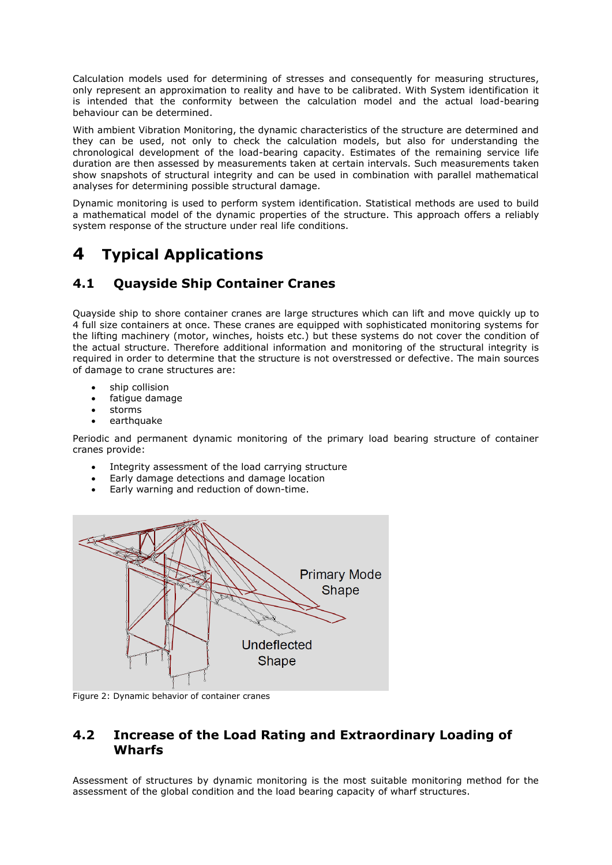Calculation models used for determining of stresses and consequently for measuring structures, only represent an approximation to reality and have to be calibrated. With System identification it is intended that the conformity between the calculation model and the actual load-bearing behaviour can be determined.

With ambient Vibration Monitoring, the dynamic characteristics of the structure are determined and they can be used, not only to check the calculation models, but also for understanding the chronological development of the load-bearing capacity. Estimates of the remaining service life duration are then assessed by measurements taken at certain intervals. Such measurements taken show snapshots of structural integrity and can be used in combination with parallel mathematical analyses for determining possible structural damage.

Dynamic monitoring is used to perform system identification. Statistical methods are used to build a mathematical model of the dynamic properties of the structure. This approach offers a reliably system response of the structure under real life conditions.

# **4 Typical Applications**

## **4.1 Quayside Ship Container Cranes**

Quayside ship to shore container cranes are large structures which can lift and move quickly up to 4 full size containers at once. These cranes are equipped with sophisticated monitoring systems for the lifting machinery (motor, winches, hoists etc.) but these systems do not cover the condition of the actual structure. Therefore additional information and monitoring of the structural integrity is required in order to determine that the structure is not overstressed or defective. The main sources of damage to crane structures are:

- ship collision
- fatigue damage
- storms
- earthquake

Periodic and permanent dynamic monitoring of the primary load bearing structure of container cranes provide:

- Integrity assessment of the load carrying structure
- Early damage detections and damage location
- Early warning and reduction of down-time.



Figure 2: Dynamic behavior of container cranes

### **4.2 Increase of the Load Rating and Extraordinary Loading of Wharfs**

Assessment of structures by dynamic monitoring is the most suitable monitoring method for the assessment of the global condition and the load bearing capacity of wharf structures.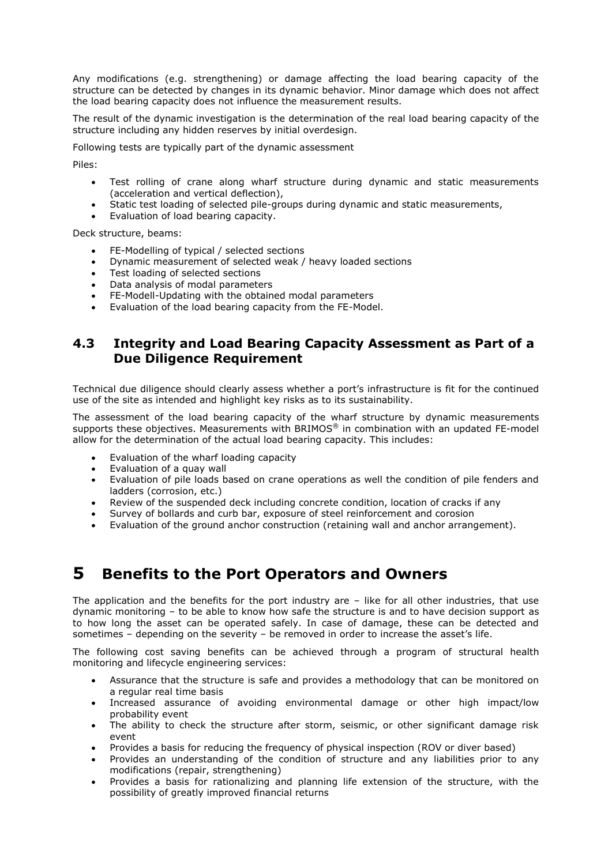Any modifications (e.g. strengthening) or damage affecting the load bearing capacity of the structure can be detected by changes in its dynamic behavior. Minor damage which does not affect the load bearing capacity does not influence the measurement results.

The result of the dynamic investigation is the determination of the real load bearing capacity of the structure including any hidden reserves by initial overdesign.

Following tests are typically part of the dynamic assessment

Piles:

- Test rolling of crane along wharf structure during dynamic and static measurements (acceleration and vertical deflection),
- Static test loading of selected pile-groups during dynamic and static measurements,
- Evaluation of load bearing capacity.

Deck structure, beams:

- FE-Modelling of typical / selected sections
- Dynamic measurement of selected weak / heavy loaded sections
- Test loading of selected sections
- Data analysis of modal parameters
- FE-Modell-Updating with the obtained modal parameters
- Evaluation of the load bearing capacity from the FE-Model.

### **4.3 Integrity and Load Bearing Capacity Assessment as Part of a Due Diligence Requirement**

Technical due diligence should clearly assess whether a port's infrastructure is fit for the continued use of the site as intended and highlight key risks as to its sustainability.

The assessment of the load bearing capacity of the wharf structure by dynamic measurements supports these objectives. Measurements with BRIMOS® in combination with an updated FE-model allow for the determination of the actual load bearing capacity. This includes:

- Evaluation of the wharf loading capacity
- Evaluation of a quay wall
- Evaluation of pile loads based on crane operations as well the condition of pile fenders and ladders (corrosion, etc.)
- Review of the suspended deck including concrete condition, location of cracks if any
- Survey of bollards and curb bar, exposure of steel reinforcement and corosion
- Evaluation of the ground anchor construction (retaining wall and anchor arrangement).

## **5 Benefits to the Port Operators and Owners**

The application and the benefits for the port industry are  $-$  like for all other industries, that use dynamic monitoring – to be able to know how safe the structure is and to have decision support as to how long the asset can be operated safely. In case of damage, these can be detected and sometimes – depending on the severity – be removed in order to increase the asset's life.

The following cost saving benefits can be achieved through a program of structural health monitoring and lifecycle engineering services:

- Assurance that the structure is safe and provides a methodology that can be monitored on a regular real time basis
- Increased assurance of avoiding environmental damage or other high impact/low probability event
- The ability to check the structure after storm, seismic, or other significant damage risk event
- Provides a basis for reducing the frequency of physical inspection (ROV or diver based)
- Provides an understanding of the condition of structure and any liabilities prior to any modifications (repair, strengthening)
- Provides a basis for rationalizing and planning life extension of the structure, with the possibility of greatly improved financial returns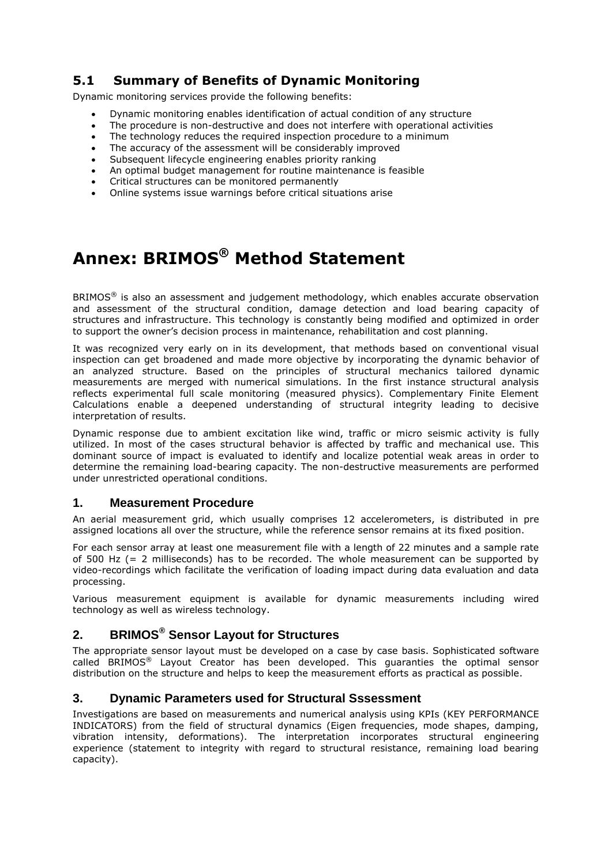### **5.1 Summary of Benefits of Dynamic Monitoring**

Dynamic monitoring services provide the following benefits:

- Dynamic monitoring enables identification of actual condition of any structure
- The procedure is non-destructive and does not interfere with operational activities
- The technology reduces the required inspection procedure to a minimum
- The accuracy of the assessment will be considerably improved
- Subsequent lifecycle engineering enables priority ranking
- An optimal budget management for routine maintenance is feasible
- Critical structures can be monitored permanently
- Online systems issue warnings before critical situations arise

# **Annex: BRIMOS® Method Statement**

BRIMOS<sup>®</sup> is also an assessment and judgement methodology, which enables accurate observation and assessment of the structural condition, damage detection and load bearing capacity of structures and infrastructure. This technology is constantly being modified and optimized in order to support the owner's decision process in maintenance, rehabilitation and cost planning.

It was recognized very early on in its development, that methods based on conventional visual inspection can get broadened and made more objective by incorporating the dynamic behavior of an analyzed structure. Based on the principles of structural mechanics tailored dynamic measurements are merged with numerical simulations. In the first instance structural analysis reflects experimental full scale monitoring (measured physics). Complementary Finite Element Calculations enable a deepened understanding of structural integrity leading to decisive interpretation of results.

Dynamic response due to ambient excitation like wind, traffic or micro seismic activity is fully utilized. In most of the cases structural behavior is affected by traffic and mechanical use. This dominant source of impact is evaluated to identify and localize potential weak areas in order to determine the remaining load-bearing capacity. The non-destructive measurements are performed under unrestricted operational conditions.

#### **1. Measurement Procedure**

An aerial measurement grid, which usually comprises 12 accelerometers, is distributed in pre assigned locations all over the structure, while the reference sensor remains at its fixed position.

For each sensor array at least one measurement file with a length of 22 minutes and a sample rate of 500 Hz  $(= 2 \text{ milliseconds})$  has to be recorded. The whole measurement can be supported by video-recordings which facilitate the verification of loading impact during data evaluation and data processing.

Various measurement equipment is available for dynamic measurements including wired technology as well as wireless technology.

### **2. BRIMOS® Sensor Layout for Structures**

The appropriate sensor layout must be developed on a case by case basis. Sophisticated software called BRIMOS® Layout Creator has been developed. This guaranties the optimal sensor distribution on the structure and helps to keep the measurement efforts as practical as possible.

### **3. Dynamic Parameters used for Structural Sssessment**

Investigations are based on measurements and numerical analysis using KPIs (KEY PERFORMANCE INDICATORS) from the field of structural dynamics (Eigen frequencies, mode shapes, damping, vibration intensity, deformations). The interpretation incorporates structural engineering experience (statement to integrity with regard to structural resistance, remaining load bearing capacity).